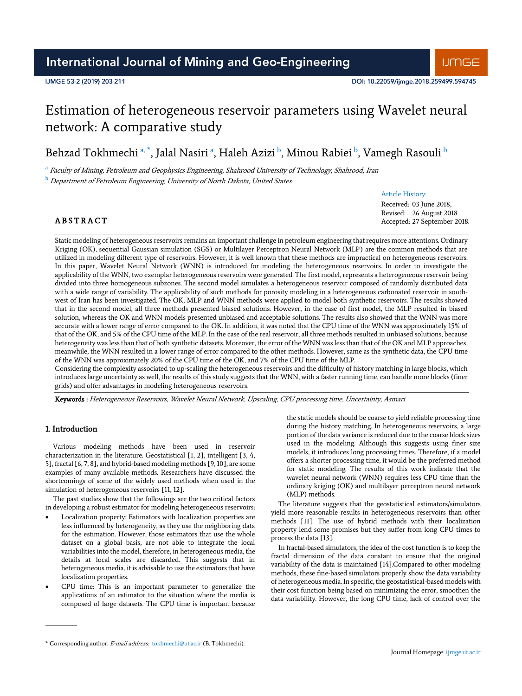## IJMGE 53-2 (2019) 203-211

# Estimation of heterogeneous reservoir parameters using Wavelet neural network: A comparative study

Behzad Tokhmechi a, \*, Jalal Nasiri a, Haleh Azizi <sup>b</sup>, Minou Rabiei <sup>b</sup>, Vamegh Rasouli <sup>b</sup>

<sup>a</sup> Faculty of Mining, Petroleum and Geophysics Engineering, Shahrood University of Technology, Shahrood, Iran

 $<sup>b</sup>$  Department of Petroleum Engineering, University of North Dakota, United States</sup>

## Article History:

Received: 03 June 2018, Revised: 26 August 2018 Accepted: 27 September 2018.

# **ABSTRACT**

Static modeling of heterogeneous reservoirs remains an important challenge in petroleum engineering that requires more attentions. Ordinary Kriging (OK), sequential Gaussian simulation (SGS) or Multilayer Perceptron Neural Network (MLP) are the common methods that are utilized in modeling different type of reservoirs. However, it is well known that these methods are impractical on heterogeneous reservoirs. In this paper, Wavelet Neural Network (WNN) is introduced for modeling the heterogeneous reservoirs. In order to investigate the applicability of the WNN, two exemplar heterogeneous reservoirs were generated. The first model, represents a heterogeneous reservoir being divided into three homogeneous subzones. The second model simulates a heterogeneous reservoir composed of randomly distributed data with a wide range of variability. The applicability of such methods for porosity modeling in a heterogeneous carbonated reservoir in southwest of Iran has been investigated. The OK, MLP and WNN methods were applied to model both synthetic reservoirs. The results showed that in the second model, all three methods presented biased solutions. However, in the case of first model, the MLP resulted in biased solution, whereas the OK and WNN models presented unbiased and acceptable solutions. The results also showed that the WNN was more accurate with a lower range of error compared to the OK. In addition, it was noted that the CPU time of the WNN was approximately 15% of that of the OK, and 5% of the CPU time of the MLP. In the case of the real reservoir, all three methods resulted in unbiased solutions, because heterogeneity was less than that of both synthetic datasets. Moreover, the error of the WNN was less than that of the OK and MLP approaches, meanwhile, the WNN resulted in a lower range of error compared to the other methods. However, same as the synthetic data, the CPU time of the WNN was approximately 20% of the CPU time of the OK, and 7% of the CPU time of the MLP.

Considering the complexity associated to up-scaling the heterogeneous reservoirs and the difficulty of history matching in large blocks, which introduces large uncertainty as well, the results of this study suggests that the WNN, with a faster running time, can handle more blocks (finer grids) and offer advantages in modeling heterogeneous reservoirs.

Keywords : Heterogeneous Reservoirs, Wavelet Neural Network, Upscaling, CPU processing time, Uncertainty, Asmari

# 1. Introduction

Various modeling methods have been used in reservoir characterization in the literature. Geostatistical [1, 2], intelligent [3, 4, 5], fractal [6, 7, 8], and hybrid-based modeling methods [9, 10], are some examples of many available methods. Researchers have discussed the shortcomings of some of the widely used methods when used in the simulation of heterogeneous reservoirs [11, 12].

The past studies show that the followings are the two critical factors in developing a robust estimator for modeling heterogeneous reservoirs:

- Localization property: Estimators with localization properties are less influenced by heterogeneity, as they use the neighboring data for the estimation. However, those estimators that use the whole dataset on a global basis, are not able to integrate the local variabilities into the model, therefore, in heterogeneous media, the details at local scales are discarded. This suggests that in heterogeneous media, it is advisable to use the estimators that have localization properties.
- CPU time: This is an important parameter to generalize the applications of an estimator to the situation where the media is composed of large datasets. The CPU time is important because

the static models should be coarse to yield reliable processing time during the history matching. In heterogeneous reservoirs, a large portion of the data variance is reduced due to the coarse block sizes used in the modeling. Although this suggests using finer size models, it introduces long processing times. Therefore, if a model offers a shorter processing time, it would be the preferred method for static modeling. The results of this work indicate that the wavelet neural network (WNN) requires less CPU time than the ordinary kriging (OK) and multilayer perceptron neural network (MLP) methods.

The literature suggests that the geostatistical estimators/simulators yield more reasonable results in heterogeneous reservoirs than other methods [11]. The use of hybrid methods with their localization property lend some promises but they suffer from long CPU times to process the data [13].

In fractal-based simulators, the idea of the cost function is to keep the fractal dimension of the data constant to ensure that the original variability of the data is maintained [14].Compared to other modeling methods, these fine-based simulators properly show the data variability of heterogeneous media. In specific, the geostatistical-based models with their cost function being based on minimizing the error, smoothen the data variability. However, the long CPU time, lack of control over the

<sup>\*</sup> Corresponding author. E-mail address: tokhmechi@ut.ac.ir (B. Tokhmechi).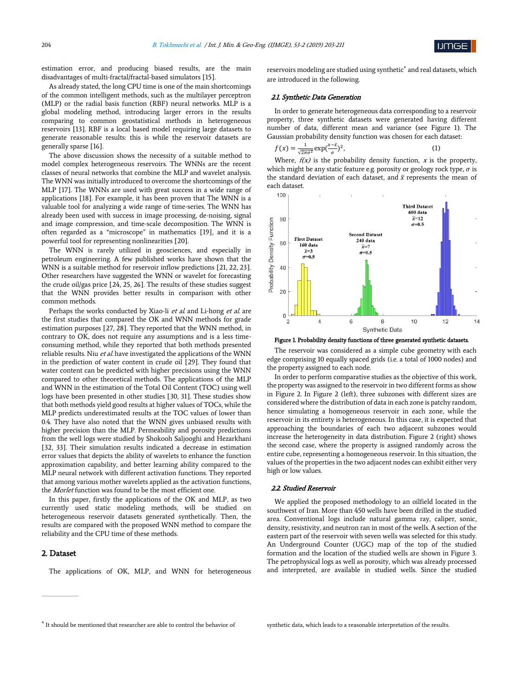umge

estimation error, and producing biased results, are the main disadvantages of multi-fractal/fractal-based simulators [15].

As already stated, the long CPU time is one of the main shortcomings of the common intelligent methods, such as the multilayer perceptron (MLP) or the radial basis function (RBF) neural networks. MLP is a global modeling method, introducing larger errors in the results comparing to common geostatistical methods in heterogeneous reservoirs [13]. RBF is a local based model requiring large datasets to generate reasonable results: this is while the reservoir datasets are generally sparse [16].

The above discussion shows the necessity of a suitable method to model complex heterogeneous reservoirs. The WNNs are the recent classes of neural networks that combine the MLP and wavelet analysis. The WNN was initially introduced to overcome the shortcomings of the MLP [17]. The WNNs are used with great success in a wide range of applications [18]. For example, it has been proven that The WNN is a valuable tool for analyzing a wide range of time-series. The WNN has already been used with success in image processing, de-noising, signal and image compression, and time-scale decomposition. The WNN is often regarded as a "microscope" in mathematics [19], and it is a powerful tool for representing nonlinearities [20].

The WNN is rarely utilized in geosciences, and especially in petroleum engineering. A few published works have shown that the WNN is a suitable method for reservoir inflow predictions [21, 22, 23]. Other researchers have suggested the WNN or wavelet for forecasting the crude oil/gas price [24, 25, 26]. The results of these studies suggest that the WNN provides better results in comparison with other common methods.

Perhaps the works conducted by Xiao-li et al. and Li-hong et al. are the first studies that compared the OK and WNN methods for grade estimation purposes [27, 28]. They reported that the WNN method, in contrary to OK, does not require any assumptions and is a less timeconsuming method, while they reported that both methods presented reliable results. Niu et al. have investigated the applications of the WNN in the prediction of water content in crude oil [29]. They found that water content can be predicted with higher precisions using the WNN compared to other theoretical methods. The applications of the MLP and WNN in the estimation of the Total Oil Content (TOC) using well logs have been presented in other studies [30, 31]. These studies show that both methods yield good results at higher values of TOCs, while the MLP predicts underestimated results at the TOC values of lower than 0.4. They have also noted that the WNN gives unbiased results with higher precision than the MLP. Permeability and porosity predictions from the well logs were studied by Shokooh Saljooghi and Hezarkhani [32, 33]. Their simulation results indicated a decrease in estimation error values that depicts the ability of wavelets to enhance the function approximation capability, and better learning ability compared to the MLP neural network with different activation functions. They reported that among various mother wavelets applied as the activation functions, the Morlet function was found to be the most efficient one.

In this paper, firstly the applications of the OK and MLP, as two currently used static modeling methods, will be studied on heterogeneous reservoir datasets generated synthetically. Then, the results are compared with the proposed WNN method to compare the reliability and the CPU time of these methods.

## 2. Dataset

The applications of OK, MLP, and WNN for heterogeneous

reservoirs modeling are studied using synthetic\* and real datasets, which are introduced in the following.

#### 2.1. Synthetic Data Generation

In order to generate heterogeneous data corresponding to a reservoir property, three synthetic datasets were generated having different number of data, different mean and variance (see Figure 1). The Gaussian probability density function was chosen for each dataset:

$$
f(x) = \frac{1}{\sqrt{2\pi\sigma^2}} \exp(\frac{x - \bar{x}}{\sigma})^2,\tag{1}
$$

Where,  $f(x)$  is the probability density function,  $x$  is the property, which might be any static feature e.g. porosity or geology rock type,  $\sigma$  is the standard deviation of each dataset, and  $\bar{x}$  represents the mean of each dataset.





The reservoir was considered as a simple cube geometry with each edge comprising 10 equally spaced grids (i.e. a total of 1000 nodes) and the property assigned to each node.

In order to perform comparative studies as the objective of this work, the property was assigned to the reservoir in two different forms as show in Figure 2. In Figure 2 (left), three subzones with different sizes are considered where the distribution of data in each zone is patchy random, hence simulating a homogeneous reservoir in each zone, while the reservoir in its entirety is heterogeneous. In this case, it is expected that approaching the boundaries of each two adjacent subzones would increase the heterogeneity in data distribution. Figure 2 (right) shows the second case, where the property is assigned randomly across the entire cube, representing a homogeneous reservoir. In this situation, the values of the properties in the two adjacent nodes can exhibit either very high or low values.

## 2.2. Studied Reservoir

We applied the proposed methodology to an oilfield located in the southwest of Iran. More than 450 wells have been drilled in the studied area. Conventional logs include natural gamma ray, caliper, sonic, density, resistivity, and neutron ran in most of the wells. A section of the eastern part of the reservoir with seven wells was selected for this study. An Underground Counter (UGC) map of the top of the studied formation and the location of the studied wells are shown in Figure 3. The petrophysical logs as well as porosity, which was already processed and interpreted, are available in studied wells. Since the studied

<sup>\*</sup> It should be mentioned that researcher are able to control the behavior of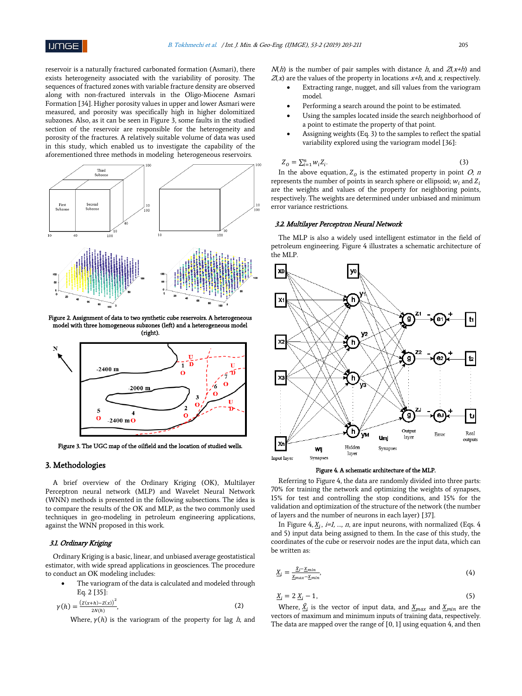reservoir is a naturally fractured carbonated formation (Asmari), there exists heterogeneity associated with the variability of porosity. The sequences of fractured zones with variable fracture density are observed along with non-fractured intervals in the Oligo-Miocene Asmari Formation [34]. Higher porosity values in upper and lower Asmari were measured, and porosity was specifically high in higher dolomitized subzones. Also, as it can be seen in Figure 3, some faults in the studied section of the reservoir are responsible for the heterogeneity and porosity of the fractures. A relatively suitable volume of data was used in this study, which enabled us to investigate the capability of the aforementioned three methods in modeling heterogeneous reservoirs.



Figure 2. Assignment of data to two synthetic cube reservoirs. A heterogeneous model with three homogeneous subzones (left) and a heterogeneous model (right).



Figure 3. The UGC map of the oilfield and the location of studied wells.

# 3. Methodologies

A brief overview of the Ordinary Kriging (OK), Multilayer Perceptron neural network (MLP) and Wavelet Neural Network (WNN) methods is presented in the following subsections. The idea is to compare the results of the OK and MLP, as the two commonly used techniques in geo-modeling in petroleum engineering applications, against the WNN proposed in this work.

# 3.1. Ordinary Kriging

Ordinary Kriging is a basic, linear, and unbiased average geostatistical estimator, with wide spread applications in geosciences. The procedure to conduct an OK modeling includes:

 The variogram of the data is calculated and modeled through Eq. 2 [35]:

$$
\gamma(h) = \frac{(z(x+h) - z(x))^2}{2N(h)},
$$
\n(2)

Where,  $\gamma(h)$  is the variogram of the property for lag h, and

 $N(h)$  is the number of pair samples with distance h, and  $Z(x+h)$  and  $Z(x)$  are the values of the property in locations  $x+h$ , and x, respectively.

- Extracting range, nugget, and sill values from the variogram model.
- Performing a search around the point to be estimated.
- Using the samples located inside the search neighborhood of a point to estimate the property of that point.
- Assigning weights (Eq. 3) to the samples to reflect the spatial variability explored using the variogram model [36]:

$$
Z_0 = \sum_{i=1}^n w_i Z_i. \tag{3}
$$

In the above equation,  $Z_0$  is the estimated property in point  $O$ ; n represents the number of points in search sphere or ellipsoid;  $w_i$  and  $Z_i$ are the weights and values of the property for neighboring points, respectively. The weights are determined under unbiased and minimum error variance restrictions.

### 3.2. Multilayer Perceptron Neural Network

The MLP is also a widely used intelligent estimator in the field of petroleum engineering. Figure 4 illustrates a schematic architecture of the MLP.



#### Figure 4. A schematic architecture of the MLP.

Referring to Figure 4, the data are randomly divided into three parts: 70% for training the network and optimizing the weights of synapses, 15% for test and controlling the stop conditions, and 15% for the validation and optimization of the structure of the network (the number of layers and the number of neurons in each layer) [37].

In Figure 4,  $\underline{X}_i$ , *i=1, ..., n*, are input neurons, with normalized (Eqs. 4) and 5) input data being assigned to them. In the case of this study, the coordinates of the cube or reservoir nodes are the input data, which can be written as:

$$
\underline{X}_i = \frac{\underline{X}_i - \underline{X}_{min}}{\underline{X}_{max} - \underline{X}_{min}},\tag{4}
$$

$$
\underline{X}_i = 2 \underline{X}_i - 1,\tag{5}
$$

Where,  $\hat{\underline{X}}_i$  is the vector of input data, and  $\underline{X}_{max}$  and  $\underline{X}_{min}$  are the vectors of maximum and minimum inputs of training data, respectively. The data are mapped over the range of [0, 1] using equation 4, and then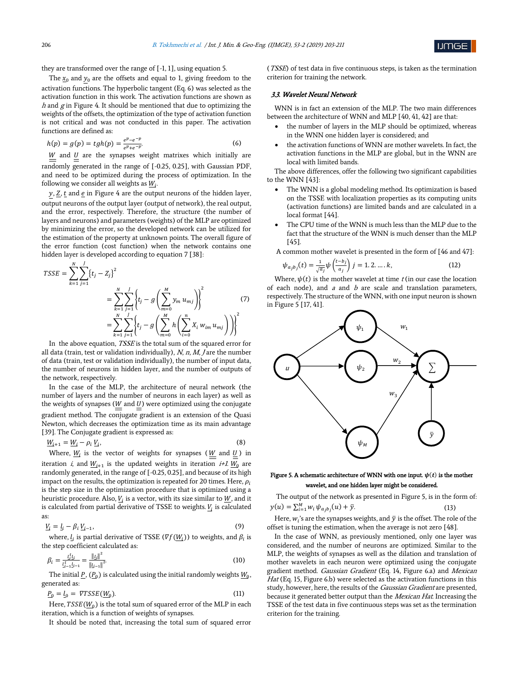

they are transformed over the range of [-1, 1], using equation 5.

The  $x_0$  and  $y_0$  are the offsets and equal to 1, giving freedom to the activation functions. The hyperbolic tangent (Eq. 6) was selected as the activation function in this work. The activation functions are shown as  $h$  and  $g$  in Figure 4. It should be mentioned that due to optimizing the weights of the offsets, the optimization of the type of activation function is not critical and was not conducted in this paper. The activation functions are defined as:

$$
h(p) = g(p) = tgh(p) = \frac{e^{p} - e^{-p}}{e^{p} + e^{-p}}.
$$
\n(6)

 $\underline{W}$  and  $\underline{U}$  are the synapses weight matrixes which initially are randomly generated in the range of [-0.25, 0.25], with Gaussian PDF, and need to be optimized during the process of optimization. In the following we consider all weights as  $W_i$ . .

 $y$ ,  $Z$ ,  $t$  and  $e$  in Figure 4 are the output neurons of the hidden layer, output neurons of the output layer (output of network), the real output, and the error, respectively. Therefore, the structure (the number of layers and neurons) and parameters (weights) of the MLP are optimized by minimizing the error, so the developed network can be utilized for the estimation of the property at unknown points. The overall figure of the error function (cost function) when the network contains one hidden layer is developed according to equation 7 [38]:

$$
TSSE = \sum_{k=1}^{N} \sum_{j=1}^{J} \{t_j - Z_j\}^2
$$
  
= 
$$
\sum_{k=1}^{N} \sum_{j=1}^{J} \{t_j - g\left(\sum_{m=0}^{M} y_m u_{mj}\right)\}^2
$$
 (7)  
= 
$$
\sum_{k=1}^{N} \sum_{j=1}^{J} \{t_j - g\left(\sum_{m=0}^{M} h\left(\sum_{i=0}^{n} X_i w_{im} u_{mj}\right)\right)\}^2
$$

In the above equation, *TSSE* is the total sum of the squared error for all data (train, test or validation individually),  $N$ ,  $n$ ,  $M$ ,  $J$  are the number of data (train, test or validation individually), the number of input data, the number of neurons in hidden layer, and the number of outputs of the network, respectively.

In the case of the MLP, the architecture of neural network (the number of layers and the number of neurons in each layer) as well as the weights of synapses ( $W$  and  $U$ ) were optimized using the conjugate gradient method. The conjugate gradient is an extension of the Quasi Newton, which decreases the optimization time as its main advantage [39]. The Conjugate gradient is expressed as:

$$
\underline{W}_{i+1} = \underline{W}_i - \rho_i \underline{V}_i,\tag{8}
$$

Where,  $\underline{W}_i$  is the vector of weights for synapses ( $\underline{W}$  and  $\underline{U}$ ) in iteration *i*, and  $\underline{W}_{i+1}$  is the updated weights in iteration *i+1*.  $\underline{W}_0$  are randomly generated, in the range of [-0.25, 0.25], and because of its high impact on the results, the optimization is repeated for 20 times. Here,  $\rho_i$ is the step size in the optimization procedure that is optimized using a heuristic procedure. Also,  $\underline{V}_i$  is a vector, with its size similar to  $\underline{W},$  and it is calculated from partial derivative of TSSE to weights.  $\underline{V}_i$  is calculated as:

$$
\underline{V}_i = \underline{l}_i - \beta_i \, \underline{V}_{i-1},\tag{9}
$$

where,  $\mathit{l}_i$  is partial derivative of TSSE ( $\nabla f(\mathit{W}_i)$ ) to weights, and  $\mathit{\beta}_i$  is the step coefficient calculated as:

$$
\beta_i = \frac{l_i^t l_i}{l_{i-1}^t l_{i-1}} = \frac{\|l_i\|^2}{\|l_{i-1}\|^2}.
$$
\n(10)

The initial <u>P,</u>  $(P_0)$  is calculated using the initial randomly weights  $W_0$ , generated as:

$$
\underline{P}_0 = \underline{l}_0 = \nabla TSSE(\underline{W}_0). \tag{11}
$$

Here,  $TSSE(\underline{W}_{0})$  is the total sum of squared error of the MLP in each iteration, which is a function of weights of synapses.

It should be noted that, increasing the total sum of squared error

(TSSE) of test data in five continuous steps, is taken as the termination criterion for training the network.

#### 3.3. Wavelet Neural Network

WNN is in fact an extension of the MLP. The two main differences between the architecture of WNN and MLP [40, 41, 42] are that:

- the number of layers in the MLP should be optimized, whereas in the WNN one hidden layer is considered; and
- the activation functions of WNN are mother wavelets. In fact, the activation functions in the MLP are global, but in the WNN are local with limited bands.

The above differences, offer the following two significant capabilities to the WNN [43]:

- The WNN is a global modeling method. Its optimization is based on the TSSE with localization properties as its computing units (activation functions) are limited bands and are calculated in a local format [44].
- The CPU time of the WNN is much less than the MLP due to the fact that the structure of the WNN is much denser than the MLP [45].

A common mother wavelet is presented in the form of [46 and 47]:

$$
\psi_{a_j b_j}(t) = \frac{1}{\sqrt{a_j}} \psi \left( \frac{t - b_j}{a_j} \right) j = 1, 2, ..., k,
$$
\n(12)

Where,  $\psi(t)$  is the mother wavelet at time t (in our case the location of each node), and  $a$  and  $b$  are scale and translation parameters, respectively. The structure of the WNN, with one input neuron is shown in Figure 5 [17, 41].



## Figure 5. A schematic architecture of WNN with one input.  $\psi(t)$  is the mother wavelet, and one hidden layer might be considered.

The output of the network as presented in Figure 5, is in the form of:  $y(u) = \sum_{i=1}^{M} w_i \psi_{a_j b_j}(u) + \bar{y}.$  (13)

Here,  $w_i$ 's are the synapses weights, and  $\bar{y}$  is the offset. The role of the offset is tuning the estimation, when the average is not zero [48].

In the case of WNN, as previously mentioned, only one layer was considered, and the number of neurons are optimized. Similar to the MLP, the weights of synapses as well as the dilation and translation of mother wavelets in each neuron were optimized using the conjugate gradient method. Gaussian Gradient (Eq. 14, Figure 6.a) and Mexican Hat (Eq. 15, Figure 6.b) were selected as the activation functions in this study, however, here, the results of the *Gaussian Gradient* are presented, because it generated better output than the Mexican Hat. Increasing the TSSE of the test data in five continuous steps was set as the termination criterion for the training.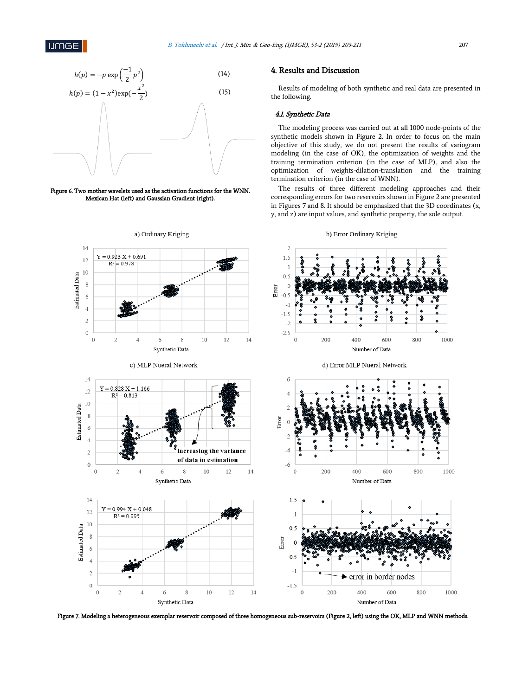4. Results and Discussion

the following.

4.1. Synthetic Data



Figure 6. Two mother wavelets used as the activation functions for the WNN. Mexican Hat (left) and Gaussian Gradient (right).



Figure 7. Modeling a heterogeneous exemplar reservoir composed of three homogeneous sub-reservoirs (Figure 2, left) using the OK, MLP and WNN methods.

#### b) Error Ordinary Kriging

termination criterion (in the case of WNN).

Results of modeling of both synthetic and real data are presented in

The modeling process was carried out at all 1000 node-points of the synthetic models shown in Figure 2. In order to focus on the main objective of this study, we do not present the results of variogram modeling (in the case of OK), the optimization of weights and the training termination criterion (in the case of MLP), and also the optimization of weights-dilation-translation and the training

The results of three different modeling approaches and their corresponding errors for two reservoirs shown in Figure 2 are presented in Figures 7 and 8. It should be emphasized that the 3D coordinates (x, y, and z) are input values, and synthetic property, the sole output.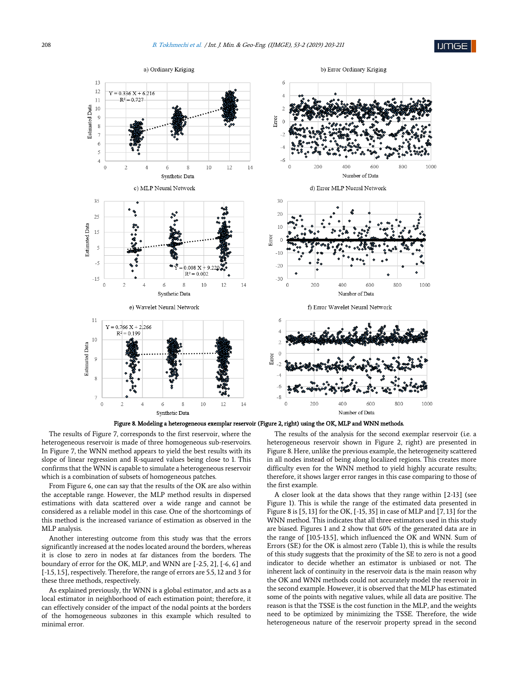

Figure 8. Modeling a heterogeneous exemplar reservoir (Figure 2, right) using the OK, MLP and WNN methods.

The results of Figure 7, corresponds to the first reservoir, where the heterogeneous reservoir is made of three homogeneous sub-reservoirs. In Figure 7, the WNN method appears to yield the best results with its slope of linear regression and R-squared values being close to 1. This confirms that the WNN is capable to simulate a heterogeneous reservoir which is a combination of subsets of homogeneous patches.

From Figure 6, one can say that the results of the OK are also within the acceptable range. However, the MLP method results in dispersed estimations with data scattered over a wide range and cannot be considered as a reliable model in this case. One of the shortcomings of this method is the increased variance of estimation as observed in the MLP analysis.

Another interesting outcome from this study was that the errors significantly increased at the nodes located around the borders, whereas it is close to zero in nodes at far distances from the borders. The boundary of error for the OK, MLP, and WNN are [-2.5, 2], [-6, 6] and [-1.5, 1.5], respectively. Therefore, the range of errors are 5.5, 12 and 3 for these three methods, respectively.

As explained previously, thr WNN is a global estimator, and acts as a local estimator in neighborhood of each estimation point; therefore, it can effectively consider of the impact of the nodal points at the borders of the homogeneous subzones in this example which resulted to minimal error.

The results of the analysis for the second exemplar reservoir (i.e. a heterogeneous reservoir shown in Figure 2, right) are presented in Figure 8. Here, unlike the previous example, the heterogeneity scattered in all nodes instead of being along localized regions. This creates more difficulty even for the WNN method to yield highly accurate results; therefore, it shows larger error ranges in this case comparing to those of the first example.

A closer look at the data shows that they range within [2-13] (see Figure 1). This is while the range of the estimated data presented in Figure 8 is [5, 13] for the OK, [-15, 35] in case of MLP and [7, 13] for the WNN method. This indicates that all three estimators used in this study are biased. Figures 1 and 2 show that 60% of the generated data are in the range of [10.5-13.5], which influenced the OK and WNN. Sum of Errors (SE) for the OK is almost zero (Table 1), this is while the results of this study suggests that the proximity of the SE to zero is not a good indicator to decide whether an estimator is unbiased or not. The inherent lack of continuity in the reservoir data is the main reason why the OK and WNN methods could not accurately model the reservoir in the second example. However, it is observed that the MLP has estimated some of the points with negative values, while all data are positive. The reason is that the TSSE is the cost function in the MLP, and the weights need to be optimized by minimizing the TSSE. Therefore, the wide heterogeneous nature of the reservoir property spread in the second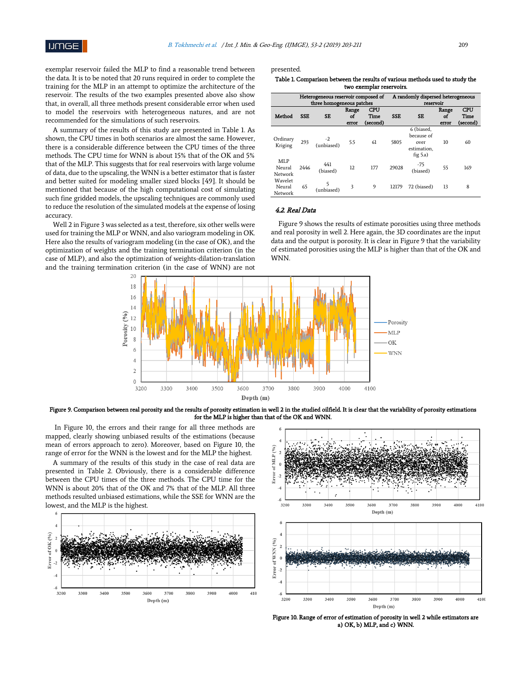exemplar reservoir failed the MLP to find a reasonable trend between the data. It is to be noted that 20 runs required in order to complete the training for the MLP in an attempt to optimize the architecture of the reservoir. The results of the two examples presented above also show that, in overall, all three methods present considerable error when used to model the reservoirs with heterogeneous natures, and are not recommended for the simulations of such reservoirs.

A summary of the results of this study are presented in Table 1. As shown, the CPU times in both scenarios are almost the same. However, there is a considerable difference between the CPU times of the three methods. The CPU time for WNN is about 15% that of the OK and 5% that of the MLP. This suggests that for real reservoirs with large volume of data, due to the upscaling, the WNN is a better estimator that is faster and better suited for modeling smaller sized blocks [49]. It should be mentioned that because of the high computational cost of simulating such fine gridded models, the upscaling techniques are commonly used to reduce the resolution of the simulated models at the expense of losing accuracy.

Well 2 in Figure 3 was selected as a test, therefore, six other wells were used for training the MLP or WNN, and also variogram modeling in OK. Here also the results of variogram modeling (in the case of OK), and the optimization of weights and the training termination criterion (in the case of MLP), and also the optimization of weights-dilation-translation and the training termination criterion (in the case of WNN) are not presented.

| Table 1. Comparison between the results of various methods used to study the |
|------------------------------------------------------------------------------|
| two exemplar reservoirs.                                                     |

|                              | Heterogeneous reservoir composed of<br>three homogeneous patches |                 |                      |                                | A randomly dispersed heterogeneous<br>reservoir |                                                                |                      |                                |
|------------------------------|------------------------------------------------------------------|-----------------|----------------------|--------------------------------|-------------------------------------------------|----------------------------------------------------------------|----------------------|--------------------------------|
| Method                       | <b>SSE</b>                                                       | <b>SE</b>       | Range<br>of<br>error | <b>CPU</b><br>Time<br>(second) | <b>SSE</b>                                      | <b>SE</b>                                                      | Range<br>of<br>error | <b>CPU</b><br>Time<br>(second) |
| Ordinary<br>Kriging          | 293                                                              | (unbiased)      | 5.5                  | 61                             | 5805                                            | 6 (biased,<br>because of<br>over<br>estimation,<br>fig $5.a$ ) | 10                   | 60                             |
| MLP<br>Neural<br>Network     | 2446                                                             | 441<br>(biased) | 12                   | 177                            | 29028                                           | -75<br>(biased)                                                | 55                   | 169                            |
| Wavelet<br>Neural<br>Network | 65                                                               | (unbiased)      | 3                    | 9                              | 12179                                           | 72 (biased)                                                    | 13                   | 8                              |

# 4.2. Real Data

Figure 9 shows the results of estimate porosities using three methods and real porosity in well 2. Here again, the 3D coordinates are the input data and the output is porosity. It is clear in Figure 9 that the variability of estimated porosities using the MLP is higher than that of the OK and WN<sub>N</sub>



Figure 9. Comparison between real porosity and the results of porosity estimation in well 2 in the studied oilfield. It is clear that the variability of porosity estimations for the MLP is higher than that of the OK and WNN.

In Figure 10, the errors and their range for all three methods are mapped, clearly showing unbiased results of the estimations (because mean of errors approach to zero). Moreover, based on Figure 10, the range of error for the WNN is the lowest and for the MLP the highest.

A summary of the results of this study in the case of real data are presented in Table 2. Obviously, there is a considerable difference between the CPU times of the three methods. The CPU time for the WNN is about 20% that of the OK and 7% that of the MLP. All three methods resulted unbiased estimations, while the SSE for WNN are the lowest, and the MLP is the highest.





Figure 10. Range of error of estimation of porosity in well 2 while estimators are a) OK, b) MLP, and c) WNN.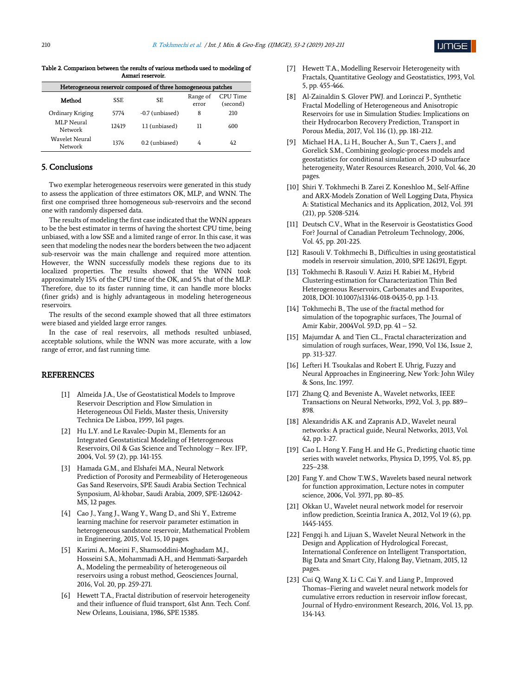

Table 2. Comparison between the results of various methods used to modeling of Asmari reservoir.

| Heterogeneous reservoir composed of three homogeneous patches |            |                 |                   |                      |  |  |  |  |  |  |
|---------------------------------------------------------------|------------|-----------------|-------------------|----------------------|--|--|--|--|--|--|
| Method                                                        | <b>SSE</b> | SE              | Range of<br>error | CPU Time<br>(second) |  |  |  |  |  |  |
| Ordinary Kriging                                              | 5774       | -0.7 (unbiased) | 8                 | 210                  |  |  |  |  |  |  |
| MLP Neural<br>Network                                         | 12419      | 1.1 (unbiased)  | 11                | 600                  |  |  |  |  |  |  |
| Wavelet Neural<br>Network                                     | 1376       | 0.2 (unbiased)  | 4                 | 42                   |  |  |  |  |  |  |

# 5. Conclusions

Two exemplar heterogeneous reservoirs were generated in this study to assess the application of three estimators OK, MLP, and WNN. The first one comprised three homogeneous sub-reservoirs and the second one with randomly dispersed data.

The results of modeling the first case indicated that the WNN appears to be the best estimator in terms of having the shortest CPU time, being unbiased, with a low SSE and a limited range of error. In this case, it was seen that modeling the nodes near the borders between the two adjacent sub-reservoir was the main challenge and required more attention. However, the WNN successfully models these regions due to its localized properties. The results showed that the WNN took approximately 15% of the CPU time of the OK, and 5% that of the MLP. Therefore, due to its faster running time, it can handle more blocks (finer grids) and is highly advantageous in modeling heterogeneous reservoirs.

The results of the second example showed that all three estimators were biased and yielded large error ranges.

In the case of real reservoirs, all methods resulted unbiased, acceptable solutions, while the WNN was more accurate, with a low range of error, and fast running time.

# **REFERENCES**

- [1] Almeida J.A., Use of Geostatistical Models to Improve Reservoir Description and Flow Simulation in Heterogeneous Oil Fields, Master thesis, University Technica De Lisboa, 1999, 161 pages.
- [2] Hu L.Y. and Le Ravalec-Dupin M., Elements for an Integrated Geostatistical Modeling of Heterogeneous Reservoirs, Oil & Gas Science and Technology – Rev. IFP, 2004, Vol. 59 (2), pp. 141-155.
- [3] Hamada G.M., and Elshafei M.A., Neural Network Prediction of Porosity and Permeability of Heterogeneous Gas Sand Reservoirs, SPE Saudi Arabia Section Technical Synposium, Al-khobar, Saudi Arabia, 2009, SPE-126042- MS, 12 pages.
- [4] Cao J., Yang J., Wang Y., Wang D., and Shi Y., Extreme learning machine for reservoir parameter estimation in heterogeneous sandstone reservoir, Mathematical Problem in Engineering, 2015, Vol. 15, 10 pages.
- [5] Karimi A., Moeini F., Shamsoddini-Moghadam M.J., Hosseini S.A., Mohammadi A.H., and Hemmati-Sarpardeh A., Modeling the permeability of heterogeneous oil reservoirs using a robust method, Geosciences Journal, 2016, Vol. 20, pp. 259-271.
- [6] Hewett T.A., Fractal distribution of reservoir heterogeneity and their influence of fluid transport, 61st Ann. Tech. Conf. New Orleans, Louisiana, 1986, SPE 15385.
- [7] Hewett T.A., Modelling Reservoir Heterogeneity with Fractals, Quantitative Geology and Geostatistics, 1993, Vol. 5, pp. 455-466.
- [8] Al-Zainaldin S. Glover PWJ. and Lorinczi P., Synthetic Fractal Modelling of Heterogeneous and Anisotropic Reservoirs for use in Simulation Studies: Implications on their Hydrocarbon Recovery Prediction, Transport in Porous Media, 2017, Vol. 116 (1), pp. 181-212.
- [9] Michael H.A., Li H., Boucher A., Sun T., Caers J., and Gorelick S.M., Combining geologic-process models and geostatistics for conditional simulation of 3-D subsurface heterogeneity, Water Resources Research, 2010, Vol. 46, 20 pages.
- [10] Shiri Y. Tokhmechi B. Zarei Z. Koneshloo M., Self-Affine and ARX-Models Zonation of Well Logging Data, Physica A: Statistical Mechanics and its Application, 2012, Vol. 391 (21), pp. 5208-5214.
- [11] Deutsch C.V., What in the Reservoir is Geostatistics Good For? Journal of Canadian Petroleum Technology, 2006, Vol. 45, pp. 201-225.
- [12] Rasouli V. Tokhmechi B., Difficulties in using geostatistical models in reservoir simulation, 2010, SPE 126191, Egypt.
- [13] Tokhmechi B. Rasouli V. Azizi H. Rabiei M., Hybrid Clustering-estimation for Characterization Thin Bed Heterogeneous Reservoirs, Carbonates and Evaporites, 2018, DOI: 10.1007/s13146-018-0435-0, pp. 1-13.
- [14] Tokhmechi B., The use of the fractal method for simulation of the topographic surfaces, The Journal of Amir Kabir, 2004Vol. 59.D, pp. 41 – 52.
- [15] Majumdar A. and Tien CL., Fractal characterization and simulation of rough surfaces, Wear, 1990, Vol 136, Issue 2, pp. 313-327.
- [16] Lefteri H. Tsoukalas and Robert E. Uhrig, Fuzzy and Neural Approaches in Engineering, New York: John Wiley & Sons, Inc. 1997.
- [17] Zhang Q. and Beveniste A., Wavelet networks, IEEE Transactions on Neural Networks, 1992, Vol. 3, pp. 889– 898.
- [18] Alexandridis A.K. and Zapranis A.D., Wavelet neural networks: A practical guide, Neural Networks, 2013, Vol. 42, pp. 1-27.
- [19] Cao L. Hong Y. Fang H. and He G., Predicting chaotic time series with wavelet networks, Physica D, 1995, Vol. 85, pp. 225–238.
- [20] Fang Y. and Chow T.W.S., Wavelets based neural network for function approximation, Lecture notes in computer science, 2006, Vol. 3971, pp. 80–85.
- [21] Okkan U., Wavelet neural network model for reservoir inflow prediction, Sceintia Iranica A., 2012, Vol 19 (6), pp. 1445-1455.
- [22] Fengqi h. and Lijuan S., Wavelet Neural Network in the Design and Application of Hydrological Forecast, International Conference on Intelligent Transportation, Big Data and Smart City, Halong Bay, Vietnam, 2015, 12 pages.
- [23] Cui Q. Wang X. Li C. Cai Y. and Liang P., Improved Thomas–Fiering and wavelet neural network models for cumulative errors reduction in reservoir inflow forecast, Journal of Hydro-environment Research, 2016, Vol. 13, pp. 134-143.